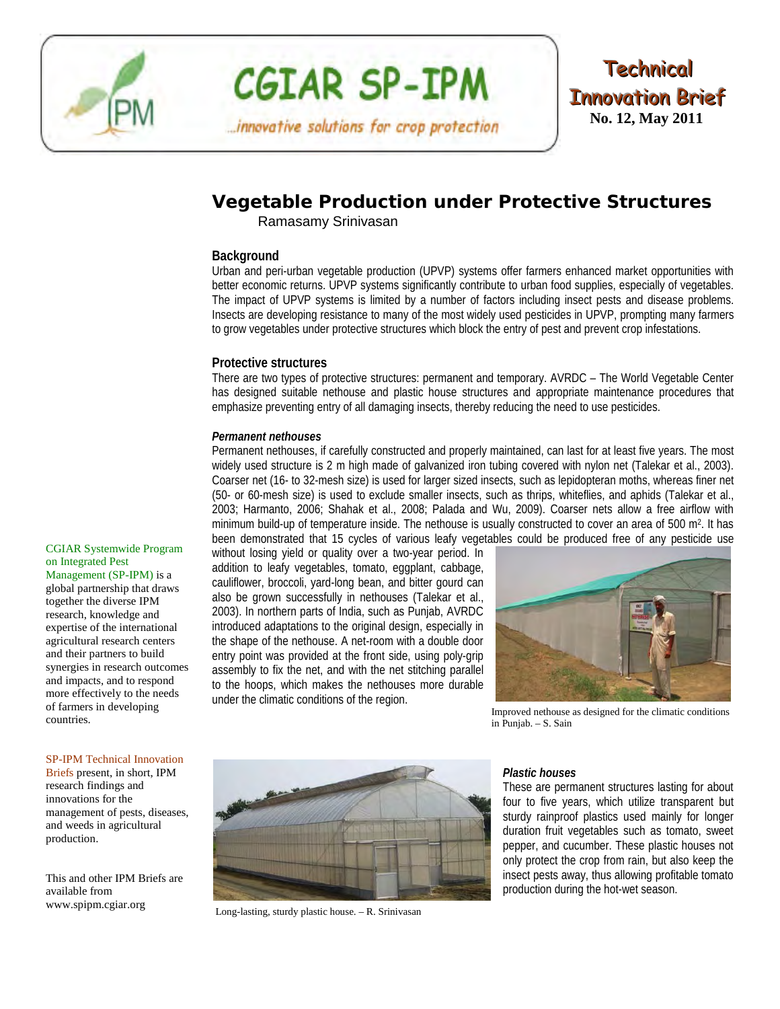

# **CGIAR SP-IPM**

...innovative solutions for crop protection



## **Vegetable Production under Protective Structures**

Ramasamy Srinivasan

#### **Background**

Urban and peri-urban vegetable production (UPVP) systems offer farmers enhanced market opportunities with better economic returns. UPVP systems significantly contribute to urban food supplies, especially of vegetables. The impact of UPVP systems is limited by a number of factors including insect pests and disease problems. Insects are developing resistance to many of the most widely used pesticides in UPVP, prompting many farmers to grow vegetables under protective structures which block the entry of pest and prevent crop infestations.

#### **Protective structures**

There are two types of protective structures: permanent and temporary. AVRDC – The World Vegetable Center has designed suitable nethouse and plastic house structures and appropriate maintenance procedures that emphasize preventing entry of all damaging insects, thereby reducing the need to use pesticides.

#### *Permanent nethouses*

Permanent nethouses, if carefully constructed and properly maintained, can last for at least five years. The most widely used structure is 2 m high made of galvanized iron tubing covered with nylon net (Talekar et al., 2003). Coarser net (16- to 32-mesh size) is used for larger sized insects, such as lepidopteran moths, whereas finer net (50- or 60-mesh size) is used to exclude smaller insects, such as thrips, whiteflies, and aphids (Talekar et al., 2003; Harmanto, 2006; Shahak et al., 2008; Palada and Wu, 2009). Coarser nets allow a free airflow with minimum build-up of temperature inside. The nethouse is usually constructed to cover an area of 500 m2. It has been demonstrated that 15 cycles of various leafy vegetables could be produced free of any pesticide use

[CGIAR Systemwide Program](http://spipm.cgiar.org/)  [on Integrated Pest](http://spipm.cgiar.org/) 

[Management \(SP-IPM\)](http://spipm.cgiar.org/) is a global partnership that draws together the diverse IPM research, knowledge and expertise of the international agricultural research centers and their partners to build synergies in research outcomes and impacts, and to respond more effectively to the needs of farmers in developing countries.

#### SP-IPM Technical Innovation

Briefs present, in short, IPM research findings and innovations for the management of pests, diseases, and weeds in agricultural production.

This and other IPM Briefs are available from [www.spipm.cgiar.org](http://www.spipm.cgiar.org/)

without losing yield or quality over a two-year period. In addition to leafy vegetables, tomato, eggplant, cabbage, cauliflower, broccoli, yard-long bean, and bitter gourd can also be grown successfully in nethouses (Talekar et al., 2003). In northern parts of India, such as Punjab, AVRDC introduced adaptations to the original design, especially in the shape of the nethouse. A net-room with a double door entry point was provided at the front side, using poly-grip assembly to fix the net, and with the net stitching parallel to the hoops, which makes the nethouses more durable under the climatic conditions of the region.



Improved nethouse as designed for the climatic conditions in Punjab. – S. Sain



Long-lasting, sturdy plastic house. – R. Srinivasan

#### *Plastic houses*

These are permanent structures lasting for about four to five years, which utilize transparent but sturdy rainproof plastics used mainly for longer duration fruit vegetables such as tomato, sweet pepper, and cucumber. These plastic houses not only protect the crop from rain, but also keep the insect pests away, thus allowing profitable tomato production during the hot-wet season.